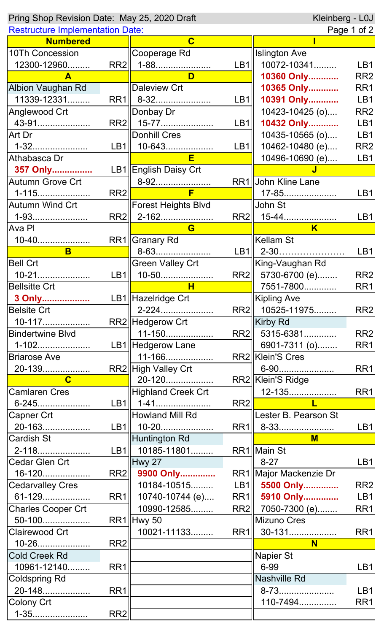| Pring Shop Revision Date: May 25, 2020 Draft | Kleinberg - L0J |                            |                 |                           |                 |
|----------------------------------------------|-----------------|----------------------------|-----------------|---------------------------|-----------------|
| <b>Restructure Implementation Date:</b>      |                 |                            |                 | Page 1 of 2               |                 |
| <b>Numbered</b>                              |                 | $\overline{\mathbf{C}}$    |                 |                           |                 |
| 10Th Concession                              |                 | Cooperage Rd               |                 | <b>Islington Ave</b>      |                 |
| 12300-12960                                  | RR2             | 1-88                       | LB1             | 10072-10341               | LB1             |
| $\mathbf{A}$                                 |                 | D                          |                 | 10360 Only                | RR <sub>2</sub> |
| Albion Vaughan Rd                            |                 | Daleview Crt               |                 | 10365 Only                | RR1             |
| 11339-12331                                  | RR1             | 8-32                       | LB1             | 10391 Only                | LB1             |
| Anglewood Crt                                |                 | Donbay Dr                  |                 | 10423-10425 (o)           | RR <sub>2</sub> |
| 43-91                                        | RR2             | 15-77                      | L <sub>B1</sub> | 10432 Only                | LB1             |
| Art Dr                                       |                 | <b>Donhill Cres</b>        |                 | 10435-10565 (o)           | LB1             |
| 1-32                                         | LB1             | 10-643                     | L <sub>B1</sub> | 10462-10480 (e)           | RR <sub>2</sub> |
| Athabasca Dr                                 |                 | E                          |                 | 10496-10690 (e)           | LB1             |
| 357 Only                                     |                 | LB1 English Daisy Crt      |                 |                           |                 |
| <b>Autumn Grove Crt</b>                      |                 |                            |                 | RR1 John Kline Lane       |                 |
| 1-115                                        | RR <sub>2</sub> | F                          |                 | 17-85                     | LB1             |
| <b>Autumn Wind Crt</b>                       |                 | <b>Forest Heights Blvd</b> |                 | John St                   |                 |
| 1-93                                         | RR <sub>2</sub> | 2-162                      | RR2             | 15-44                     | LB1             |
| Ava PI                                       |                 | G                          |                 | $\overline{\mathsf{K}}$   |                 |
| 10-40                                        |                 | RR1  Granary Rd            |                 | Kellam St                 |                 |
| B                                            |                 | 8-63                       | L <sub>B1</sub> | 2-30                      | LB1             |
| <b>Bell Crt</b>                              |                 | <b>Green Valley Crt</b>    |                 | King-Vaughan Rd           |                 |
| $10 - 21$                                    | LB1             | 10-50                      | RR2             | 5730-6700 (e)             | RR <sub>2</sub> |
| <b>Bellsitte Crt</b>                         |                 | H                          |                 | 7551-7800                 | RR1             |
| 3 Only                                       |                 | LB1 Hazelridge Crt         |                 | <b>Kipling Ave</b>        |                 |
| <b>Belsite Crt</b>                           |                 | 2-224                      |                 | RR2 10525-11975           | RR <sub>2</sub> |
| 10-117                                       |                 | RR2 Hedgerow Crt           |                 | Kirby Rd                  |                 |
| <b>Bindertwine Blvd</b>                      |                 | 11-150                     | RR2             | 5315-6381                 | RR <sub>2</sub> |
| 1-102                                        |                 | LB1   Hedgerow Lane        |                 | 6901-7311 (o)             | RR <sub>1</sub> |
| <b>Briarose Ave</b>                          |                 | 11-166                     |                 | RR2 Klein'S Cres          |                 |
| 20-139                                       |                 | RR2 High Valley Crt        |                 | 6-90                      | RR <sub>1</sub> |
| $\mathbf{C}$                                 |                 | 20-120                     |                 | RR2 Klein'S Ridge         |                 |
| <b>Camlaren Cres</b>                         |                 | Highland Creek Crt         |                 |                           | RR1             |
| 6-245                                        |                 | LB1   1-41                 | RR2             | and the first part of the |                 |
| Capner Crt                                   |                 | Howland Mill Rd            |                 | Lester B. Pearson St      |                 |
| 20-163                                       | LB1             | 10-20                      | RR <sub>1</sub> | 8-33                      | LB1             |
| Cardish St                                   |                 | Huntington Rd              |                 | $M$                       |                 |
| 2-118                                        | L <sub>B1</sub> | 10185-11801                |                 | RR1 Main St               |                 |
| Cedar Glen Crt                               |                 | Hwy 27                     |                 | $8 - 27$                  | LB1             |
| 16-120                                       | RR2             | 9900 Only                  |                 | RR1   Major Mackenzie Dr  |                 |
| <b>Cedarvalley Cres</b>                      |                 | 10184-10515                | LB1             | 5500 Only                 | RR <sub>2</sub> |
| 61-129                                       | RR1             | 10740-10744 (e)            | RR1             | 5910 Only                 | LB1             |
| <b>Charles Cooper Crt</b>                    |                 | 10990-12585                |                 | RR2 7050-7300 (e)         | RR1             |
| 50-100                                       |                 | $RR1$  Hwy 50              |                 | Mizuno Cres               |                 |
| Clairewood Crt                               |                 | 10021-11133                | RR1             | 30-131                    | RR <sub>1</sub> |
| 10-26                                        | RR <sub>2</sub> |                            |                 | N                         |                 |
| Cold Creek Rd                                |                 |                            |                 | <b>Napier St</b>          |                 |
| 10961-12140                                  | RR1             |                            |                 | 6-99                      | LB1             |
| <b>Coldspring Rd</b>                         |                 |                            |                 | Nashville Rd              |                 |
| 20-148                                       | RR1             |                            |                 | 8-73                      | LB1             |
| Colony Crt                                   |                 |                            |                 | 110-7494                  | RR1             |
| 1-35                                         | RR <sub>2</sub> |                            |                 |                           |                 |
|                                              |                 |                            |                 |                           |                 |